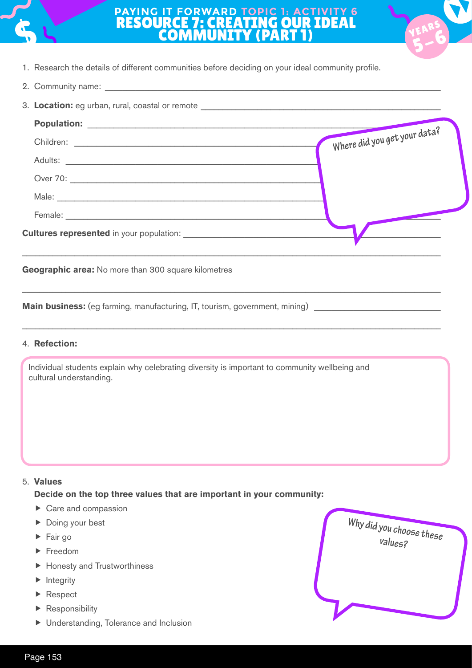

## **PAYING IT FORWARD TOPIC 1: ACTIVITY 6** RESOURCE 7: CREATING OUR IDEAL **COMMUNITY (PART**



- 1. Research the details of different communities before deciding on your ideal community profile.
- 2. Community name:

| 3. Location: eg urban, rural, coastal or remote ________________________________ |                              |
|----------------------------------------------------------------------------------|------------------------------|
|                                                                                  |                              |
|                                                                                  | Where did you get your data? |
|                                                                                  |                              |
|                                                                                  |                              |
|                                                                                  |                              |
|                                                                                  |                              |
|                                                                                  |                              |
|                                                                                  |                              |

\_\_\_\_\_\_\_\_\_\_\_\_\_\_\_\_\_\_\_\_\_\_\_\_\_\_\_\_\_\_\_\_\_\_\_\_\_\_\_\_\_\_\_\_\_\_\_\_\_\_\_\_\_\_\_\_\_\_\_\_\_\_\_\_\_\_\_\_\_\_\_\_\_\_\_\_\_\_\_\_\_\_\_\_\_\_\_\_\_\_\_\_\_\_\_\_

\_\_\_\_\_\_\_\_\_\_\_\_\_\_\_\_\_\_\_\_\_\_\_\_\_\_\_\_\_\_\_\_\_\_\_\_\_\_\_\_\_\_\_\_\_\_\_\_\_\_\_\_\_\_\_\_\_\_\_\_\_\_\_\_\_\_\_\_\_\_\_\_\_\_\_\_\_\_\_\_\_\_\_\_\_\_\_\_\_\_\_\_\_\_\_\_

**Geographic area:** No more than 300 square kilometres

**Main business:** (eg farming, manufacturing, IT, tourism, government, mining)

## 4. **Refection:**

Individual students explain why celebrating diversity is important to community wellbeing and cultural understanding.

## 5. **Values**

**Decide on the top three values that are important in your community:**

- $\triangleright$  Care and compassion
- ▶ Doing your best
- $\blacktriangleright$  Fair go
- Freedom
- ▶ Honesty and Trustworthiness
- $\blacktriangleright$  Integrity
- Respect
- ▶ Responsibility
- Understanding, Tolerance and Inclusion